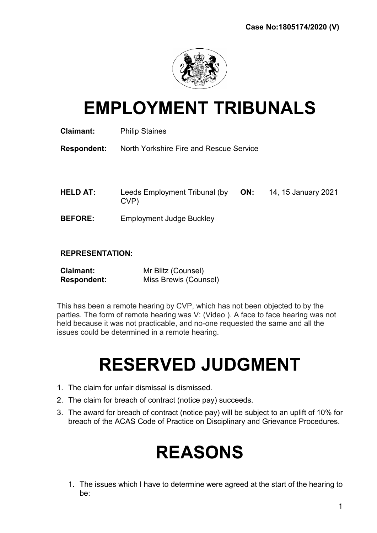

# EMPLOYMENT TRIBUNALS

| Claimant:          | <b>Philip Staines</b>                   |     |                     |
|--------------------|-----------------------------------------|-----|---------------------|
| <b>Respondent:</b> | North Yorkshire Fire and Rescue Service |     |                     |
|                    |                                         |     |                     |
|                    |                                         |     |                     |
| <b>HELD AT:</b>    | Leeds Employment Tribunal (by<br>CVP)   | ON: | 14, 15 January 2021 |
| <b>BEFORE:</b>     | <b>Employment Judge Buckley</b>         |     |                     |

## REPRESENTATION:

| <b>Claimant:</b>   | Mr Blitz (Counsel)    |
|--------------------|-----------------------|
| <b>Respondent:</b> | Miss Brewis (Counsel) |

This has been a remote hearing by CVP, which has not been objected to by the parties. The form of remote hearing was V: (Video ). A face to face hearing was not held because it was not practicable, and no-one requested the same and all the issues could be determined in a remote hearing.

# RESERVED JUDGMENT

- 1. The claim for unfair dismissal is dismissed.
- 2. The claim for breach of contract (notice pay) succeeds.
- 3. The award for breach of contract (notice pay) will be subject to an uplift of 10% for breach of the ACAS Code of Practice on Disciplinary and Grievance Procedures.

# REASONS

1. The issues which I have to determine were agreed at the start of the hearing to be: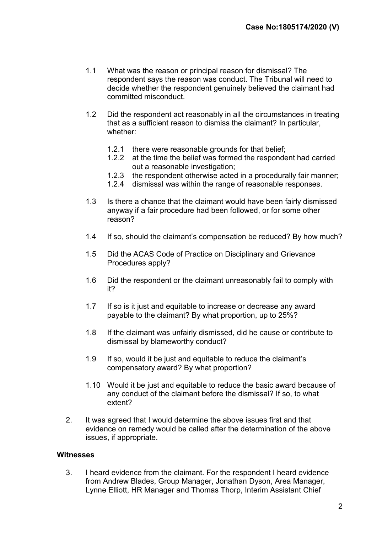- 1.1 What was the reason or principal reason for dismissal? The respondent says the reason was conduct. The Tribunal will need to decide whether the respondent genuinely believed the claimant had committed misconduct.
- 1.2 Did the respondent act reasonably in all the circumstances in treating that as a sufficient reason to dismiss the claimant? In particular, whether:
	- 1.2.1 there were reasonable grounds for that belief;
	- 1.2.2 at the time the belief was formed the respondent had carried out a reasonable investigation;
	- 1.2.3 the respondent otherwise acted in a procedurally fair manner;
	- 1.2.4 dismissal was within the range of reasonable responses.
- 1.3 Is there a chance that the claimant would have been fairly dismissed anyway if a fair procedure had been followed, or for some other reason?
- 1.4 If so, should the claimant's compensation be reduced? By how much?
- 1.5 Did the ACAS Code of Practice on Disciplinary and Grievance Procedures apply?
- 1.6 Did the respondent or the claimant unreasonably fail to comply with it?
- 1.7 If so is it just and equitable to increase or decrease any award payable to the claimant? By what proportion, up to 25%?
- 1.8 If the claimant was unfairly dismissed, did he cause or contribute to dismissal by blameworthy conduct?
- 1.9 If so, would it be just and equitable to reduce the claimant's compensatory award? By what proportion?
- 1.10 Would it be just and equitable to reduce the basic award because of any conduct of the claimant before the dismissal? If so, to what extent?
- 2. It was agreed that I would determine the above issues first and that evidence on remedy would be called after the determination of the above issues, if appropriate.

#### **Witnesses**

3. I heard evidence from the claimant. For the respondent I heard evidence from Andrew Blades, Group Manager, Jonathan Dyson, Area Manager, Lynne Elliott, HR Manager and Thomas Thorp, Interim Assistant Chief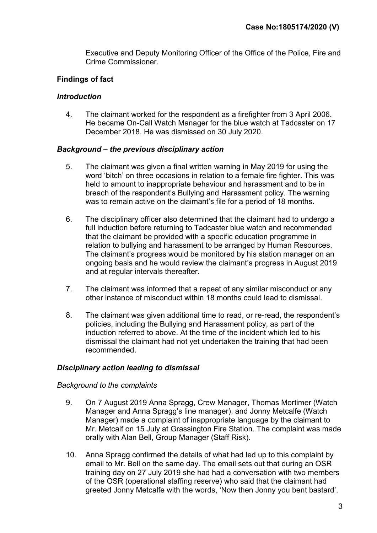Executive and Deputy Monitoring Officer of the Office of the Police, Fire and Crime Commissioner.

# Findings of fact

## **Introduction**

4. The claimant worked for the respondent as a firefighter from 3 April 2006. He became On-Call Watch Manager for the blue watch at Tadcaster on 17 December 2018. He was dismissed on 30 July 2020.

## Background – the previous disciplinary action

- 5. The claimant was given a final written warning in May 2019 for using the word 'bitch' on three occasions in relation to a female fire fighter. This was held to amount to inappropriate behaviour and harassment and to be in breach of the respondent's Bullying and Harassment policy. The warning was to remain active on the claimant's file for a period of 18 months.
- 6. The disciplinary officer also determined that the claimant had to undergo a full induction before returning to Tadcaster blue watch and recommended that the claimant be provided with a specific education programme in relation to bullying and harassment to be arranged by Human Resources. The claimant's progress would be monitored by his station manager on an ongoing basis and he would review the claimant's progress in August 2019 and at regular intervals thereafter.
- 7. The claimant was informed that a repeat of any similar misconduct or any other instance of misconduct within 18 months could lead to dismissal.
- 8. The claimant was given additional time to read, or re-read, the respondent's policies, including the Bullying and Harassment policy, as part of the induction referred to above. At the time of the incident which led to his dismissal the claimant had not yet undertaken the training that had been recommended.

## Disciplinary action leading to dismissal

#### Background to the complaints

- 9. On 7 August 2019 Anna Spragg, Crew Manager, Thomas Mortimer (Watch Manager and Anna Spragg's line manager), and Jonny Metcalfe (Watch Manager) made a complaint of inappropriate language by the claimant to Mr. Metcalf on 15 July at Grassington Fire Station. The complaint was made orally with Alan Bell, Group Manager (Staff Risk).
- 10. Anna Spragg confirmed the details of what had led up to this complaint by email to Mr. Bell on the same day. The email sets out that during an OSR training day on 27 July 2019 she had had a conversation with two members of the OSR (operational staffing reserve) who said that the claimant had greeted Jonny Metcalfe with the words, 'Now then Jonny you bent bastard'.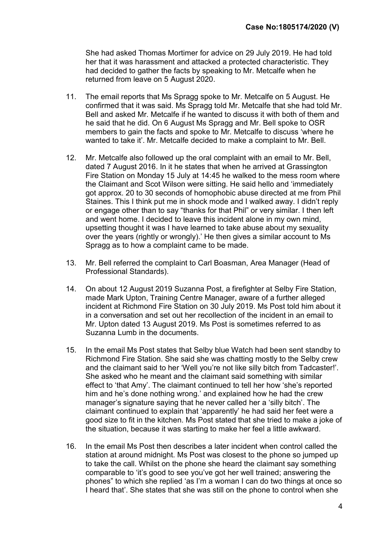She had asked Thomas Mortimer for advice on 29 July 2019. He had told her that it was harassment and attacked a protected characteristic. They had decided to gather the facts by speaking to Mr. Metcalfe when he returned from leave on 5 August 2020.

- 11. The email reports that Ms Spragg spoke to Mr. Metcalfe on 5 August. He confirmed that it was said. Ms Spragg told Mr. Metcalfe that she had told Mr. Bell and asked Mr. Metcalfe if he wanted to discuss it with both of them and he said that he did. On 6 August Ms Spragg and Mr. Bell spoke to OSR members to gain the facts and spoke to Mr. Metcalfe to discuss 'where he wanted to take it'. Mr. Metcalfe decided to make a complaint to Mr. Bell.
- 12. Mr. Metcalfe also followed up the oral complaint with an email to Mr. Bell, dated 7 August 2016. In it he states that when he arrived at Grassington Fire Station on Monday 15 July at 14:45 he walked to the mess room where the Claimant and Scot Wilson were sitting. He said hello and 'immediately got approx. 20 to 30 seconds of homophobic abuse directed at me from Phil Staines. This I think put me in shock mode and I walked away. I didn't reply or engage other than to say "thanks for that Phil" or very similar. I then left and went home. I decided to leave this incident alone in my own mind, upsetting thought it was I have learned to take abuse about my sexuality over the years (rightly or wrongly).' He then gives a similar account to Ms Spragg as to how a complaint came to be made.
- 13. Mr. Bell referred the complaint to Carl Boasman, Area Manager (Head of Professional Standards).
- 14. On about 12 August 2019 Suzanna Post, a firefighter at Selby Fire Station, made Mark Upton, Training Centre Manager, aware of a further alleged incident at Richmond Fire Station on 30 July 2019. Ms Post told him about it in a conversation and set out her recollection of the incident in an email to Mr. Upton dated 13 August 2019. Ms Post is sometimes referred to as Suzanna Lumb in the documents.
- 15. In the email Ms Post states that Selby blue Watch had been sent standby to Richmond Fire Station. She said she was chatting mostly to the Selby crew and the claimant said to her 'Well you're not like silly bitch from Tadcaster!'. She asked who he meant and the claimant said something with similar effect to 'that Amy'. The claimant continued to tell her how 'she's reported him and he's done nothing wrong.' and explained how he had the crew manager's signature saying that he never called her a 'silly bitch'. The claimant continued to explain that 'apparently' he had said her feet were a good size to fit in the kitchen. Ms Post stated that she tried to make a joke of the situation, because it was starting to make her feel a little awkward.
- 16. In the email Ms Post then describes a later incident when control called the station at around midnight. Ms Post was closest to the phone so jumped up to take the call. Whilst on the phone she heard the claimant say something comparable to 'it's good to see you've got her well trained; answering the phones" to which she replied 'as I'm a woman I can do two things at once so I heard that'. She states that she was still on the phone to control when she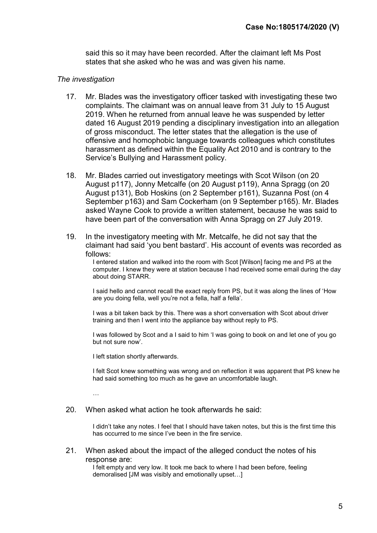said this so it may have been recorded. After the claimant left Ms Post states that she asked who he was and was given his name.

#### The investigation

- 17. Mr. Blades was the investigatory officer tasked with investigating these two complaints. The claimant was on annual leave from 31 July to 15 August 2019. When he returned from annual leave he was suspended by letter dated 16 August 2019 pending a disciplinary investigation into an allegation of gross misconduct. The letter states that the allegation is the use of offensive and homophobic language towards colleagues which constitutes harassment as defined within the Equality Act 2010 and is contrary to the Service's Bullying and Harassment policy.
- 18. Mr. Blades carried out investigatory meetings with Scot Wilson (on 20 August p117), Jonny Metcalfe (on 20 August p119), Anna Spragg (on 20 August p131), Bob Hoskins (on 2 September p161), Suzanna Post (on 4 September p163) and Sam Cockerham (on 9 September p165). Mr. Blades asked Wayne Cook to provide a written statement, because he was said to have been part of the conversation with Anna Spragg on 27 July 2019.
- 19. In the investigatory meeting with Mr. Metcalfe, he did not say that the claimant had said 'you bent bastard'. His account of events was recorded as follows:

I entered station and walked into the room with Scot [Wilson] facing me and PS at the computer. I knew they were at station because I had received some email during the day about doing STARR.

I said hello and cannot recall the exact reply from PS, but it was along the lines of 'How are you doing fella, well you're not a fella, half a fella'.

I was a bit taken back by this. There was a short conversation with Scot about driver training and then I went into the appliance bay without reply to PS.

I was followed by Scot and a I said to him 'I was going to book on and let one of you go but not sure now'.

I left station shortly afterwards.

I felt Scot knew something was wrong and on reflection it was apparent that PS knew he had said something too much as he gave an uncomfortable laugh.

…

20. When asked what action he took afterwards he said:

I didn't take any notes. I feel that I should have taken notes, but this is the first time this has occurred to me since I've been in the fire service.

21. When asked about the impact of the alleged conduct the notes of his response are:

> I felt empty and very low. It took me back to where I had been before, feeling demoralised [JM was visibly and emotionally upset…]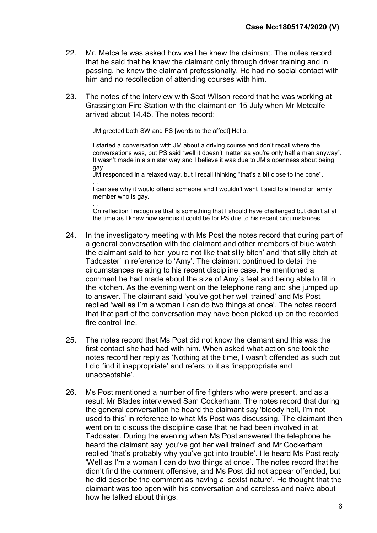- 22. Mr. Metcalfe was asked how well he knew the claimant. The notes record that he said that he knew the claimant only through driver training and in passing, he knew the claimant professionally. He had no social contact with him and no recollection of attending courses with him.
- 23. The notes of the interview with Scot Wilson record that he was working at Grassington Fire Station with the claimant on 15 July when Mr Metcalfe arrived about 14.45. The notes record:

JM greeted both SW and PS [words to the affect] Hello.

I started a conversation with JM about a driving course and don't recall where the conversations was, but PS said "well it doesn't matter as you're only half a man anyway". It wasn't made in a sinister way and I believe it was due to JM's openness about being gay.

JM responded in a relaxed way, but I recall thinking "that's a bit close to the bone". …

I can see why it would offend someone and I wouldn't want it said to a friend or family member who is gay.

… On reflection I recognise that is something that I should have challenged but didn't at at the time as I knew how serious it could be for PS due to his recent circumstances.

- 24. In the investigatory meeting with Ms Post the notes record that during part of a general conversation with the claimant and other members of blue watch the claimant said to her 'you're not like that silly bitch' and 'that silly bitch at Tadcaster' in reference to 'Amy'. The claimant continued to detail the circumstances relating to his recent discipline case. He mentioned a comment he had made about the size of Amy's feet and being able to fit in the kitchen. As the evening went on the telephone rang and she jumped up to answer. The claimant said 'you've got her well trained' and Ms Post replied 'well as I'm a woman I can do two things at once'. The notes record that that part of the conversation may have been picked up on the recorded fire control line.
- 25. The notes record that Ms Post did not know the clamant and this was the first contact she had had with him. When asked what action she took the notes record her reply as 'Nothing at the time, I wasn't offended as such but I did find it inappropriate' and refers to it as 'inappropriate and unacceptable'.
- 26. Ms Post mentioned a number of fire fighters who were present, and as a result Mr Blades interviewed Sam Cockerham. The notes record that during the general conversation he heard the claimant say 'bloody hell, I'm not used to this' in reference to what Ms Post was discussing. The claimant then went on to discuss the discipline case that he had been involved in at Tadcaster. During the evening when Ms Post answered the telephone he heard the claimant say 'you've got her well trained' and Mr Cockerham replied 'that's probably why you've got into trouble'. He heard Ms Post reply 'Well as I'm a woman I can do two things at once'. The notes record that he didn't find the comment offensive, and Ms Post did not appear offended, but he did describe the comment as having a 'sexist nature'. He thought that the claimant was too open with his conversation and careless and naïve about how he talked about things.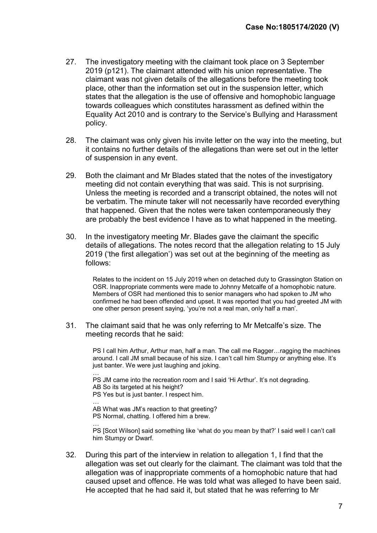- 27. The investigatory meeting with the claimant took place on 3 September 2019 (p121). The claimant attended with his union representative. The claimant was not given details of the allegations before the meeting took place, other than the information set out in the suspension letter, which states that the allegation is the use of offensive and homophobic language towards colleagues which constitutes harassment as defined within the Equality Act 2010 and is contrary to the Service's Bullying and Harassment policy.
- 28. The claimant was only given his invite letter on the way into the meeting, but it contains no further details of the allegations than were set out in the letter of suspension in any event.
- 29. Both the claimant and Mr Blades stated that the notes of the investigatory meeting did not contain everything that was said. This is not surprising. Unless the meeting is recorded and a transcript obtained, the notes will not be verbatim. The minute taker will not necessarily have recorded everything that happened. Given that the notes were taken contemporaneously they are probably the best evidence I have as to what happened in the meeting.
- 30. In the investigatory meeting Mr. Blades gave the claimant the specific details of allegations. The notes record that the allegation relating to 15 July 2019 ('the first allegation') was set out at the beginning of the meeting as follows:

Relates to the incident on 15 July 2019 when on detached duty to Grassington Station on OSR. Inappropriate comments were made to Johnny Metcalfe of a homophobic nature. Members of OSR had mentioned this to senior managers who had spoken to JM who confirmed he had been offended and upset. It was reported that you had greeted JM with one other person present saying, 'you're not a real man, only half a man'.

31. The claimant said that he was only referring to Mr Metcalfe's size. The meeting records that he said:

> PS I call him Arthur, Arthur man, half a man. The call me Ragger…ragging the machines around. I call JM small because of his size. I can't call him Stumpy or anything else. It's just banter. We were just laughing and joking.

… PS JM came into the recreation room and I said 'Hi Arthur'. It's not degrading.

AB So its targeted at his height?

PS Yes but is just banter. I respect him. …

AB What was JM's reaction to that greeting? PS Normal, chatting. I offered him a brew.

… PS [Scot Wilson] said something like 'what do you mean by that?' I said well I can't call him Stumpy or Dwarf.

32. During this part of the interview in relation to allegation 1, I find that the allegation was set out clearly for the claimant. The claimant was told that the allegation was of inappropriate comments of a homophobic nature that had caused upset and offence. He was told what was alleged to have been said. He accepted that he had said it, but stated that he was referring to Mr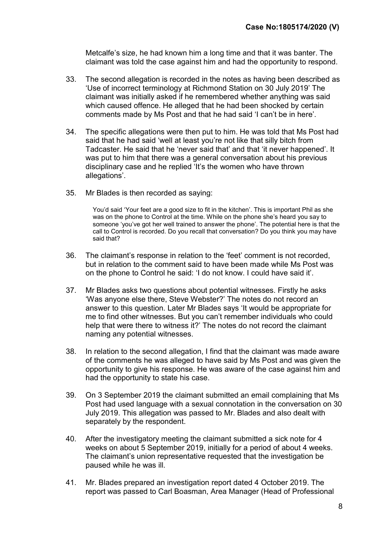Metcalfe's size, he had known him a long time and that it was banter. The claimant was told the case against him and had the opportunity to respond.

- 33. The second allegation is recorded in the notes as having been described as 'Use of incorrect terminology at Richmond Station on 30 July 2019' The claimant was initially asked if he remembered whether anything was said which caused offence. He alleged that he had been shocked by certain comments made by Ms Post and that he had said 'I can't be in here'.
- 34. The specific allegations were then put to him. He was told that Ms Post had said that he had said 'well at least you're not like that silly bitch from Tadcaster. He said that he 'never said that' and that 'it never happened'. It was put to him that there was a general conversation about his previous disciplinary case and he replied 'It's the women who have thrown allegations'.
- 35. Mr Blades is then recorded as saying:

You'd said 'Your feet are a good size to fit in the kitchen'. This is important Phil as she was on the phone to Control at the time. While on the phone she's heard you say to someone 'you've got her well trained to answer the phone'. The potential here is that the call to Control is recorded. Do you recall that conversation? Do you think you may have said that?

- 36. The claimant's response in relation to the 'feet' comment is not recorded, but in relation to the comment said to have been made while Ms Post was on the phone to Control he said: 'I do not know. I could have said it'.
- 37. Mr Blades asks two questions about potential witnesses. Firstly he asks 'Was anyone else there, Steve Webster?' The notes do not record an answer to this question. Later Mr Blades says 'It would be appropriate for me to find other witnesses. But you can't remember individuals who could help that were there to witness it?' The notes do not record the claimant naming any potential witnesses.
- 38. In relation to the second allegation, I find that the claimant was made aware of the comments he was alleged to have said by Ms Post and was given the opportunity to give his response. He was aware of the case against him and had the opportunity to state his case.
- 39. On 3 September 2019 the claimant submitted an email complaining that Ms Post had used language with a sexual connotation in the conversation on 30 July 2019. This allegation was passed to Mr. Blades and also dealt with separately by the respondent.
- 40. After the investigatory meeting the claimant submitted a sick note for 4 weeks on about 5 September 2019, initially for a period of about 4 weeks. The claimant's union representative requested that the investigation be paused while he was ill.
- 41. Mr. Blades prepared an investigation report dated 4 October 2019. The report was passed to Carl Boasman, Area Manager (Head of Professional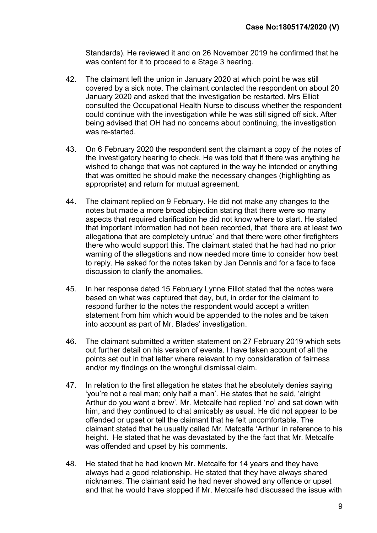Standards). He reviewed it and on 26 November 2019 he confirmed that he was content for it to proceed to a Stage 3 hearing.

- 42. The claimant left the union in January 2020 at which point he was still covered by a sick note. The claimant contacted the respondent on about 20 January 2020 and asked that the investigation be restarted. Mrs Elliot consulted the Occupational Health Nurse to discuss whether the respondent could continue with the investigation while he was still signed off sick. After being advised that OH had no concerns about continuing, the investigation was re-started.
- 43. On 6 February 2020 the respondent sent the claimant a copy of the notes of the investigatory hearing to check. He was told that if there was anything he wished to change that was not captured in the way he intended or anything that was omitted he should make the necessary changes (highlighting as appropriate) and return for mutual agreement.
- 44. The claimant replied on 9 February. He did not make any changes to the notes but made a more broad objection stating that there were so many aspects that required clarification he did not know where to start. He stated that important information had not been recorded, that 'there are at least two allegationa that are completely untrue' and that there were other firefighters there who would support this. The claimant stated that he had had no prior warning of the allegations and now needed more time to consider how best to reply. He asked for the notes taken by Jan Dennis and for a face to face discussion to clarify the anomalies.
- 45. In her response dated 15 February Lynne Eillot stated that the notes were based on what was captured that day, but, in order for the claimant to respond further to the notes the respondent would accept a written statement from him which would be appended to the notes and be taken into account as part of Mr. Blades' investigation.
- 46. The claimant submitted a written statement on 27 February 2019 which sets out further detail on his version of events. I have taken account of all the points set out in that letter where relevant to my consideration of fairness and/or my findings on the wrongful dismissal claim.
- 47. In relation to the first allegation he states that he absolutely denies saying 'you're not a real man; only half a man'. He states that he said, 'alright Arthur do you want a brew'. Mr. Metcalfe had replied 'no' and sat down with him, and they continued to chat amicably as usual. He did not appear to be offended or upset or tell the claimant that he felt uncomfortable. The claimant stated that he usually called Mr. Metcalfe 'Arthur' in reference to his height. He stated that he was devastated by the the fact that Mr. Metcalfe was offended and upset by his comments.
- 48. He stated that he had known Mr. Metcalfe for 14 years and they have always had a good relationship. He stated that they have always shared nicknames. The claimant said he had never showed any offence or upset and that he would have stopped if Mr. Metcalfe had discussed the issue with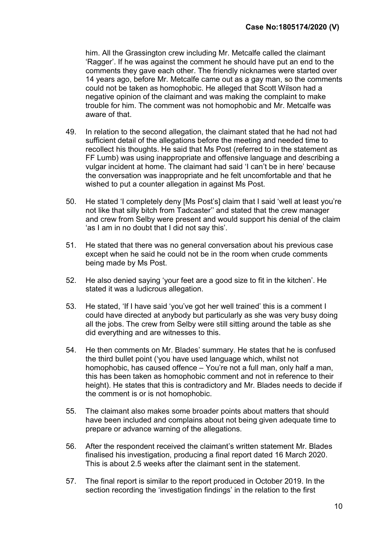him. All the Grassington crew including Mr. Metcalfe called the claimant 'Ragger'. If he was against the comment he should have put an end to the comments they gave each other. The friendly nicknames were started over 14 years ago, before Mr. Metcalfe came out as a gay man, so the comments could not be taken as homophobic. He alleged that Scott Wilson had a negative opinion of the claimant and was making the complaint to make trouble for him. The comment was not homophobic and Mr. Metcalfe was aware of that.

- 49. In relation to the second allegation, the claimant stated that he had not had sufficient detail of the allegations before the meeting and needed time to recollect his thoughts. He said that Ms Post (referred to in the statement as FF Lumb) was using inappropriate and offensive language and describing a vulgar incident at home. The claimant had said 'I can't be in here' because the conversation was inappropriate and he felt uncomfortable and that he wished to put a counter allegation in against Ms Post.
- 50. He stated 'I completely deny [Ms Post's] claim that I said 'well at least you're not like that silly bitch from Tadcaster'' and stated that the crew manager and crew from Selby were present and would support his denial of the claim 'as I am in no doubt that I did not say this'.
- 51. He stated that there was no general conversation about his previous case except when he said he could not be in the room when crude comments being made by Ms Post.
- 52. He also denied saying 'your feet are a good size to fit in the kitchen'. He stated it was a ludicrous allegation.
- 53. He stated, 'If I have said 'you've got her well trained' this is a comment I could have directed at anybody but particularly as she was very busy doing all the jobs. The crew from Selby were still sitting around the table as she did everything and are witnesses to this.
- 54. He then comments on Mr. Blades' summary. He states that he is confused the third bullet point ('you have used language which, whilst not homophobic, has caused offence – You're not a full man, only half a man, this has been taken as homophobic comment and not in reference to their height). He states that this is contradictory and Mr. Blades needs to decide if the comment is or is not homophobic.
- 55. The claimant also makes some broader points about matters that should have been included and complains about not being given adequate time to prepare or advance warning of the allegations.
- 56. After the respondent received the claimant's written statement Mr. Blades finalised his investigation, producing a final report dated 16 March 2020. This is about 2.5 weeks after the claimant sent in the statement.
- 57. The final report is similar to the report produced in October 2019. In the section recording the 'investigation findings' in the relation to the first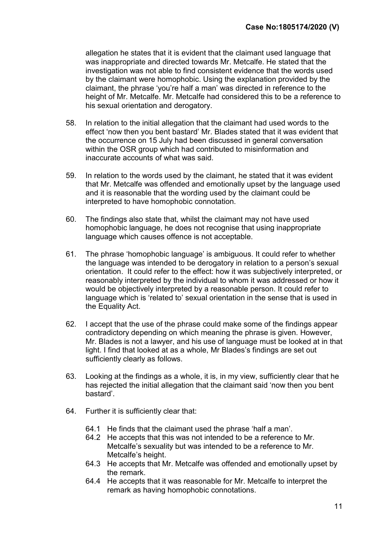allegation he states that it is evident that the claimant used language that was inappropriate and directed towards Mr. Metcalfe. He stated that the investigation was not able to find consistent evidence that the words used by the claimant were homophobic. Using the explanation provided by the claimant, the phrase 'you're half a man' was directed in reference to the height of Mr. Metcalfe. Mr. Metcalfe had considered this to be a reference to his sexual orientation and derogatory.

- 58. In relation to the initial allegation that the claimant had used words to the effect 'now then you bent bastard' Mr. Blades stated that it was evident that the occurrence on 15 July had been discussed in general conversation within the OSR group which had contributed to misinformation and inaccurate accounts of what was said.
- 59. In relation to the words used by the claimant, he stated that it was evident that Mr. Metcalfe was offended and emotionally upset by the language used and it is reasonable that the wording used by the claimant could be interpreted to have homophobic connotation.
- 60. The findings also state that, whilst the claimant may not have used homophobic language, he does not recognise that using inappropriate language which causes offence is not acceptable.
- 61. The phrase 'homophobic language' is ambiguous. It could refer to whether the language was intended to be derogatory in relation to a person's sexual orientation. It could refer to the effect: how it was subjectively interpreted, or reasonably interpreted by the individual to whom it was addressed or how it would be objectively interpreted by a reasonable person. It could refer to language which is 'related to' sexual orientation in the sense that is used in the Equality Act.
- 62. I accept that the use of the phrase could make some of the findings appear contradictory depending on which meaning the phrase is given. However, Mr. Blades is not a lawyer, and his use of language must be looked at in that light. I find that looked at as a whole, Mr Blades's findings are set out sufficiently clearly as follows.
- 63. Looking at the findings as a whole, it is, in my view, sufficiently clear that he has rejected the initial allegation that the claimant said 'now then you bent bastard'.
- 64. Further it is sufficiently clear that:
	- 64.1 He finds that the claimant used the phrase 'half a man'.
	- 64.2 He accepts that this was not intended to be a reference to Mr. Metcalfe's sexuality but was intended to be a reference to Mr. Metcalfe's height.
	- 64.3 He accepts that Mr. Metcalfe was offended and emotionally upset by the remark.
	- 64.4 He accepts that it was reasonable for Mr. Metcalfe to interpret the remark as having homophobic connotations.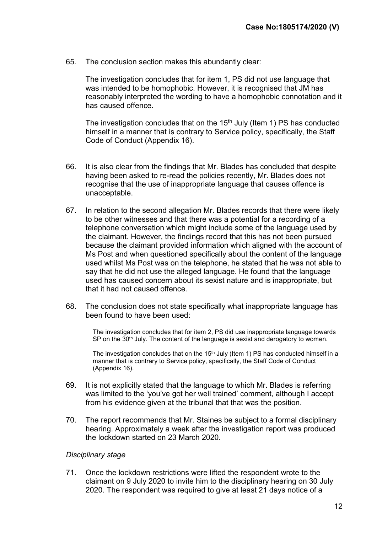65. The conclusion section makes this abundantly clear:

The investigation concludes that for item 1, PS did not use language that was intended to be homophobic. However, it is recognised that JM has reasonably interpreted the wording to have a homophobic connotation and it has caused offence.

The investigation concludes that on the  $15<sup>th</sup>$  July (Item 1) PS has conducted himself in a manner that is contrary to Service policy, specifically, the Staff Code of Conduct (Appendix 16).

- 66. It is also clear from the findings that Mr. Blades has concluded that despite having been asked to re-read the policies recently, Mr. Blades does not recognise that the use of inappropriate language that causes offence is unacceptable.
- 67. In relation to the second allegation Mr. Blades records that there were likely to be other witnesses and that there was a potential for a recording of a telephone conversation which might include some of the language used by the claimant. However, the findings record that this has not been pursued because the claimant provided information which aligned with the account of Ms Post and when questioned specifically about the content of the language used whilst Ms Post was on the telephone, he stated that he was not able to say that he did not use the alleged language. He found that the language used has caused concern about its sexist nature and is inappropriate, but that it had not caused offence.
- 68. The conclusion does not state specifically what inappropriate language has been found to have been used:

The investigation concludes that for item 2, PS did use inappropriate language towards  $SP$  on the  $30<sup>th</sup>$  July. The content of the language is sexist and derogatory to women.

The investigation concludes that on the  $15<sup>th</sup>$  July (Item 1) PS has conducted himself in a manner that is contrary to Service policy, specifically, the Staff Code of Conduct (Appendix 16).

- 69. It is not explicitly stated that the language to which Mr. Blades is referring was limited to the 'you've got her well trained' comment, although I accept from his evidence given at the tribunal that that was the position.
- 70. The report recommends that Mr. Staines be subject to a formal disciplinary hearing. Approximately a week after the investigation report was produced the lockdown started on 23 March 2020.

#### Disciplinary stage

71. Once the lockdown restrictions were lifted the respondent wrote to the claimant on 9 July 2020 to invite him to the disciplinary hearing on 30 July 2020. The respondent was required to give at least 21 days notice of a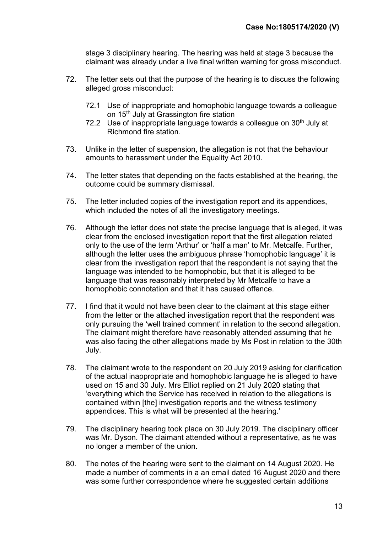stage 3 disciplinary hearing. The hearing was held at stage 3 because the claimant was already under a live final written warning for gross misconduct.

- 72. The letter sets out that the purpose of the hearing is to discuss the following alleged gross misconduct:
	- 72.1 Use of inappropriate and homophobic language towards a colleague on 15<sup>th</sup> July at Grassington fire station
	- 72.2 Use of inappropriate language towards a colleague on  $30<sup>th</sup>$  July at Richmond fire station.
- 73. Unlike in the letter of suspension, the allegation is not that the behaviour amounts to harassment under the Equality Act 2010.
- 74. The letter states that depending on the facts established at the hearing, the outcome could be summary dismissal.
- 75. The letter included copies of the investigation report and its appendices, which included the notes of all the investigatory meetings.
- 76. Although the letter does not state the precise language that is alleged, it was clear from the enclosed investigation report that the first allegation related only to the use of the term 'Arthur' or 'half a man' to Mr. Metcalfe. Further, although the letter uses the ambiguous phrase 'homophobic language' it is clear from the investigation report that the respondent is not saying that the language was intended to be homophobic, but that it is alleged to be language that was reasonably interpreted by Mr Metcalfe to have a homophobic connotation and that it has caused offence.
- 77. I find that it would not have been clear to the claimant at this stage either from the letter or the attached investigation report that the respondent was only pursuing the 'well trained comment' in relation to the second allegation. The claimant might therefore have reasonably attended assuming that he was also facing the other allegations made by Ms Post in relation to the 30th July.
- 78. The claimant wrote to the respondent on 20 July 2019 asking for clarification of the actual inappropriate and homophobic language he is alleged to have used on 15 and 30 July. Mrs Elliot replied on 21 July 2020 stating that 'everything which the Service has received in relation to the allegations is contained within [the] investigation reports and the witness testimony appendices. This is what will be presented at the hearing.'
- 79. The disciplinary hearing took place on 30 July 2019. The disciplinary officer was Mr. Dyson. The claimant attended without a representative, as he was no longer a member of the union.
- 80. The notes of the hearing were sent to the claimant on 14 August 2020. He made a number of comments in a an email dated 16 August 2020 and there was some further correspondence where he suggested certain additions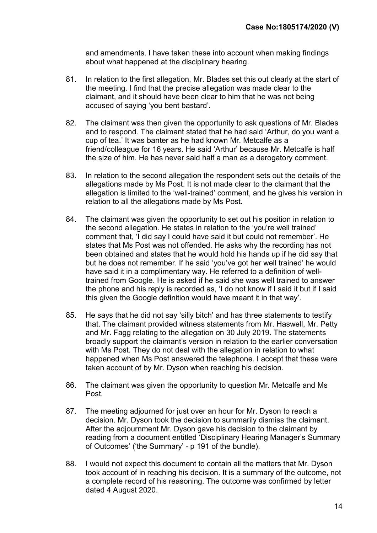and amendments. I have taken these into account when making findings about what happened at the disciplinary hearing.

- 81. In relation to the first allegation, Mr. Blades set this out clearly at the start of the meeting. I find that the precise allegation was made clear to the claimant, and it should have been clear to him that he was not being accused of saying 'you bent bastard'.
- 82. The claimant was then given the opportunity to ask questions of Mr. Blades and to respond. The claimant stated that he had said 'Arthur, do you want a cup of tea.' It was banter as he had known Mr. Metcalfe as a friend/colleague for 16 years. He said 'Arthur' because Mr. Metcalfe is half the size of him. He has never said half a man as a derogatory comment.
- 83. In relation to the second allegation the respondent sets out the details of the allegations made by Ms Post. It is not made clear to the claimant that the allegation is limited to the 'well-trained' comment, and he gives his version in relation to all the allegations made by Ms Post.
- 84. The claimant was given the opportunity to set out his position in relation to the second allegation. He states in relation to the 'you're well trained' comment that, 'I did say I could have said it but could not remember'. He states that Ms Post was not offended. He asks why the recording has not been obtained and states that he would hold his hands up if he did say that but he does not remember. If he said 'you've got her well trained' he would have said it in a complimentary way. He referred to a definition of welltrained from Google. He is asked if he said she was well trained to answer the phone and his reply is recorded as, 'I do not know if I said it but if I said this given the Google definition would have meant it in that way'.
- 85. He says that he did not say 'silly bitch' and has three statements to testify that. The claimant provided witness statements from Mr. Haswell, Mr. Petty and Mr. Fagg relating to the allegation on 30 July 2019. The statements broadly support the claimant's version in relation to the earlier conversation with Ms Post. They do not deal with the allegation in relation to what happened when Ms Post answered the telephone. I accept that these were taken account of by Mr. Dyson when reaching his decision.
- 86. The claimant was given the opportunity to question Mr. Metcalfe and Ms Post.
- 87. The meeting adjourned for just over an hour for Mr. Dyson to reach a decision. Mr. Dyson took the decision to summarily dismiss the claimant. After the adjournment Mr. Dyson gave his decision to the claimant by reading from a document entitled 'Disciplinary Hearing Manager's Summary of Outcomes' ('the Summary' - p 191 of the bundle).
- 88. I would not expect this document to contain all the matters that Mr. Dyson took account of in reaching his decision. It is a summary of the outcome, not a complete record of his reasoning. The outcome was confirmed by letter dated 4 August 2020.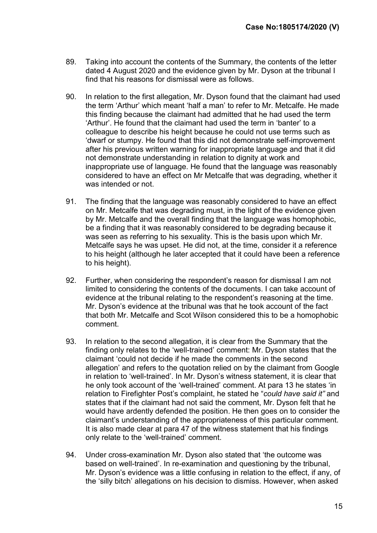- 89. Taking into account the contents of the Summary, the contents of the letter dated 4 August 2020 and the evidence given by Mr. Dyson at the tribunal I find that his reasons for dismissal were as follows.
- 90. In relation to the first allegation, Mr. Dyson found that the claimant had used the term 'Arthur' which meant 'half a man' to refer to Mr. Metcalfe. He made this finding because the claimant had admitted that he had used the term 'Arthur'. He found that the claimant had used the term in 'banter' to a colleague to describe his height because he could not use terms such as 'dwarf or stumpy. He found that this did not demonstrate self-improvement after his previous written warning for inappropriate language and that it did not demonstrate understanding in relation to dignity at work and inappropriate use of language. He found that the language was reasonably considered to have an effect on Mr Metcalfe that was degrading, whether it was intended or not.
- 91. The finding that the language was reasonably considered to have an effect on Mr. Metcalfe that was degrading must, in the light of the evidence given by Mr. Metcalfe and the overall finding that the language was homophobic, be a finding that it was reasonably considered to be degrading because it was seen as referring to his sexuality. This is the basis upon which Mr. Metcalfe says he was upset. He did not, at the time, consider it a reference to his height (although he later accepted that it could have been a reference to his height).
- 92. Further, when considering the respondent's reason for dismissal I am not limited to considering the contents of the documents. I can take account of evidence at the tribunal relating to the respondent's reasoning at the time. Mr. Dyson's evidence at the tribunal was that he took account of the fact that both Mr. Metcalfe and Scot Wilson considered this to be a homophobic comment.
- 93. In relation to the second allegation, it is clear from the Summary that the finding only relates to the 'well-trained' comment: Mr. Dyson states that the claimant 'could not decide if he made the comments in the second allegation' and refers to the quotation relied on by the claimant from Google in relation to 'well-trained'. In Mr. Dyson's witness statement, it is clear that he only took account of the 'well-trained' comment. At para 13 he states 'in relation to Firefighter Post's complaint, he stated he "could have said it" and states that if the claimant had not said the comment, Mr. Dyson felt that he would have ardently defended the position. He then goes on to consider the claimant's understanding of the appropriateness of this particular comment. It is also made clear at para 47 of the witness statement that his findings only relate to the 'well-trained' comment.
- 94. Under cross-examination Mr. Dyson also stated that 'the outcome was based on well-trained'. In re-examination and questioning by the tribunal, Mr. Dyson's evidence was a little confusing in relation to the effect, if any, of the 'silly bitch' allegations on his decision to dismiss. However, when asked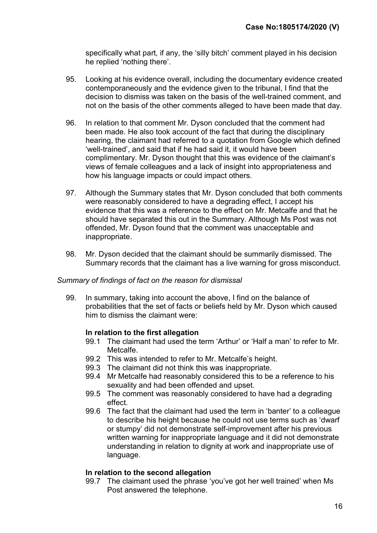specifically what part, if any, the 'silly bitch' comment played in his decision he replied 'nothing there'.

- 95. Looking at his evidence overall, including the documentary evidence created contemporaneously and the evidence given to the tribunal, I find that the decision to dismiss was taken on the basis of the well-trained comment, and not on the basis of the other comments alleged to have been made that day.
- 96. In relation to that comment Mr. Dyson concluded that the comment had been made. He also took account of the fact that during the disciplinary hearing, the claimant had referred to a quotation from Google which defined 'well-trained', and said that if he had said it, it would have been complimentary. Mr. Dyson thought that this was evidence of the claimant's views of female colleagues and a lack of insight into appropriateness and how his language impacts or could impact others.
- 97. Although the Summary states that Mr. Dyson concluded that both comments were reasonably considered to have a degrading effect, I accept his evidence that this was a reference to the effect on Mr. Metcalfe and that he should have separated this out in the Summary. Although Ms Post was not offended, Mr. Dyson found that the comment was unacceptable and inappropriate.
- 98. Mr. Dyson decided that the claimant should be summarily dismissed. The Summary records that the claimant has a live warning for gross misconduct.

#### Summary of findings of fact on the reason for dismissal

99. In summary, taking into account the above, I find on the balance of probabilities that the set of facts or beliefs held by Mr. Dyson which caused him to dismiss the claimant were:

## In relation to the first allegation

- 99.1 The claimant had used the term 'Arthur' or 'Half a man' to refer to Mr. Metcalfe.
- 99.2 This was intended to refer to Mr. Metcalfe's height.
- 99.3 The claimant did not think this was inappropriate.
- 99.4 Mr Metcalfe had reasonably considered this to be a reference to his sexuality and had been offended and upset.
- 99.5 The comment was reasonably considered to have had a degrading effect.
- 99.6 The fact that the claimant had used the term in 'banter' to a colleague to describe his height because he could not use terms such as 'dwarf or stumpy' did not demonstrate self-improvement after his previous written warning for inappropriate language and it did not demonstrate understanding in relation to dignity at work and inappropriate use of language.

## In relation to the second allegation

99.7 The claimant used the phrase 'you've got her well trained' when Ms Post answered the telephone.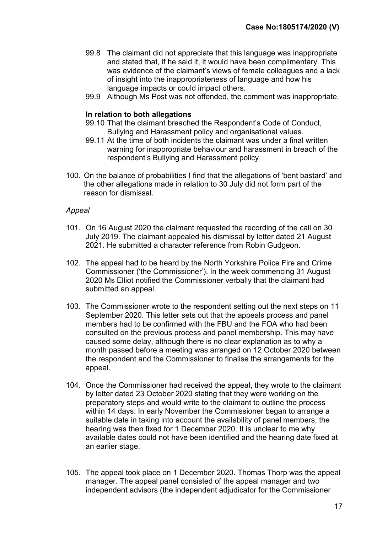- 99.8 The claimant did not appreciate that this language was inappropriate and stated that, if he said it, it would have been complimentary. This was evidence of the claimant's views of female colleagues and a lack of insight into the inappropriateness of language and how his language impacts or could impact others.
- 99.9 Although Ms Post was not offended, the comment was inappropriate.

#### In relation to both allegations

- 99.10 That the claimant breached the Respondent's Code of Conduct, Bullying and Harassment policy and organisational values.
- 99.11 At the time of both incidents the claimant was under a final written warning for inappropriate behaviour and harassment in breach of the respondent's Bullying and Harassment policy
- 100. On the balance of probabilities I find that the allegations of 'bent bastard' and the other allegations made in relation to 30 July did not form part of the reason for dismissal.

#### Appeal

- 101. On 16 August 2020 the claimant requested the recording of the call on 30 July 2019. The claimant appealed his dismissal by letter dated 21 August 2021. He submitted a character reference from Robin Gudgeon.
- 102. The appeal had to be heard by the North Yorkshire Police Fire and Crime Commissioner ('the Commissioner'). In the week commencing 31 August 2020 Ms Elliot notified the Commissioner verbally that the claimant had submitted an appeal.
- 103. The Commissioner wrote to the respondent setting out the next steps on 11 September 2020. This letter sets out that the appeals process and panel members had to be confirmed with the FBU and the FOA who had been consulted on the previous process and panel membership. This may have caused some delay, although there is no clear explanation as to why a month passed before a meeting was arranged on 12 October 2020 between the respondent and the Commissioner to finalise the arrangements for the appeal.
- 104. Once the Commissioner had received the appeal, they wrote to the claimant by letter dated 23 October 2020 stating that they were working on the preparatory steps and would write to the claimant to outline the process within 14 days. In early November the Commissioner began to arrange a suitable date in taking into account the availability of panel members, the hearing was then fixed for 1 December 2020. It is unclear to me why available dates could not have been identified and the hearing date fixed at an earlier stage.
- 105. The appeal took place on 1 December 2020. Thomas Thorp was the appeal manager. The appeal panel consisted of the appeal manager and two independent advisors (the independent adjudicator for the Commissioner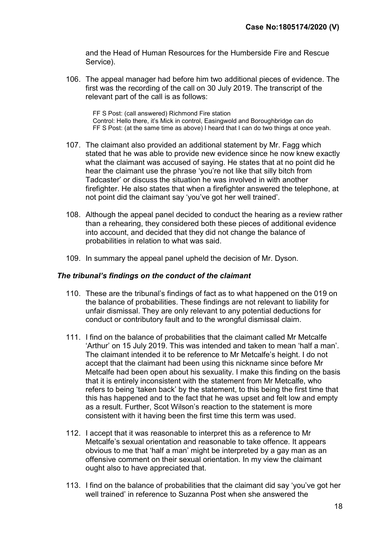and the Head of Human Resources for the Humberside Fire and Rescue Service).

106. The appeal manager had before him two additional pieces of evidence. The first was the recording of the call on 30 July 2019. The transcript of the relevant part of the call is as follows:

FF S Post: (call answered) Richmond Fire station Control: Hello there, it's Mick in control, Easingwold and Boroughbridge can do FF S Post: (at the same time as above) I heard that I can do two things at once yeah.

- 107. The claimant also provided an additional statement by Mr. Fagg which stated that he was able to provide new evidence since he now knew exactly what the claimant was accused of saying. He states that at no point did he hear the claimant use the phrase 'you're not like that silly bitch from Tadcaster' or discuss the situation he was involved in with another firefighter. He also states that when a firefighter answered the telephone, at not point did the claimant say 'you've got her well trained'.
- 108. Although the appeal panel decided to conduct the hearing as a review rather than a rehearing, they considered both these pieces of additional evidence into account, and decided that they did not change the balance of probabilities in relation to what was said.
- 109. In summary the appeal panel upheld the decision of Mr. Dyson.

#### The tribunal's findings on the conduct of the claimant

- 110. These are the tribunal's findings of fact as to what happened on the 019 on the balance of probabilities. These findings are not relevant to liability for unfair dismissal. They are only relevant to any potential deductions for conduct or contributory fault and to the wrongful dismissal claim.
- 111. I find on the balance of probabilities that the claimant called Mr Metcalfe 'Arthur' on 15 July 2019. This was intended and taken to mean 'half a man'. The claimant intended it to be reference to Mr Metcalfe's height. I do not accept that the claimant had been using this nickname since before Mr Metcalfe had been open about his sexuality. I make this finding on the basis that it is entirely inconsistent with the statement from Mr Metcalfe, who refers to being 'taken back' by the statement, to this being the first time that this has happened and to the fact that he was upset and felt low and empty as a result. Further, Scot Wilson's reaction to the statement is more consistent with it having been the first time this term was used.
- 112. I accept that it was reasonable to interpret this as a reference to Mr Metcalfe's sexual orientation and reasonable to take offence. It appears obvious to me that 'half a man' might be interpreted by a gay man as an offensive comment on their sexual orientation. In my view the claimant ought also to have appreciated that.
- 113. I find on the balance of probabilities that the claimant did say 'you've got her well trained' in reference to Suzanna Post when she answered the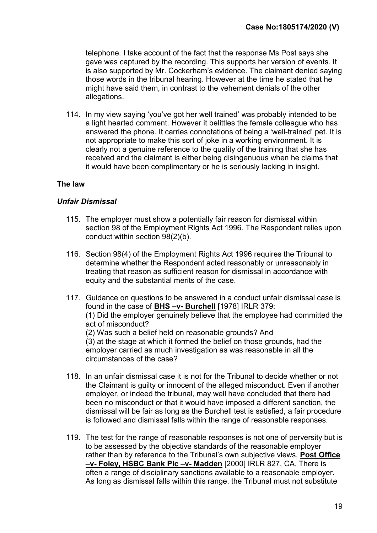telephone. I take account of the fact that the response Ms Post says she gave was captured by the recording. This supports her version of events. It is also supported by Mr. Cockerham's evidence. The claimant denied saying those words in the tribunal hearing. However at the time he stated that he might have said them, in contrast to the vehement denials of the other allegations.

114. In my view saying 'you've got her well trained' was probably intended to be a light hearted comment. However it belittles the female colleague who has answered the phone. It carries connotations of being a 'well-trained' pet. It is not appropriate to make this sort of joke in a working environment. It is clearly not a genuine reference to the quality of the training that she has received and the claimant is either being disingenuous when he claims that it would have been complimentary or he is seriously lacking in insight.

## The law

#### Unfair Dismissal

- 115. The employer must show a potentially fair reason for dismissal within section 98 of the Employment Rights Act 1996. The Respondent relies upon conduct within section 98(2)(b).
- 116. Section 98(4) of the Employment Rights Act 1996 requires the Tribunal to determine whether the Respondent acted reasonably or unreasonably in treating that reason as sufficient reason for dismissal in accordance with equity and the substantial merits of the case.
- 117. Guidance on questions to be answered in a conduct unfair dismissal case is found in the case of BHS -v- Burchell [1978] IRLR 379: (1) Did the employer genuinely believe that the employee had committed the act of misconduct? (2) Was such a belief held on reasonable grounds? And (3) at the stage at which it formed the belief on those grounds, had the employer carried as much investigation as was reasonable in all the circumstances of the case?
- 118. In an unfair dismissal case it is not for the Tribunal to decide whether or not the Claimant is guilty or innocent of the alleged misconduct. Even if another employer, or indeed the tribunal, may well have concluded that there had been no misconduct or that it would have imposed a different sanction, the dismissal will be fair as long as the Burchell test is satisfied, a fair procedure is followed and dismissal falls within the range of reasonable responses.
- 119. The test for the range of reasonable responses is not one of perversity but is to be assessed by the objective standards of the reasonable employer rather than by reference to the Tribunal's own subjective views, Post Office –v- Foley, HSBC Bank Plc –v- Madden [2000] IRLR 827, CA. There is often a range of disciplinary sanctions available to a reasonable employer. As long as dismissal falls within this range, the Tribunal must not substitute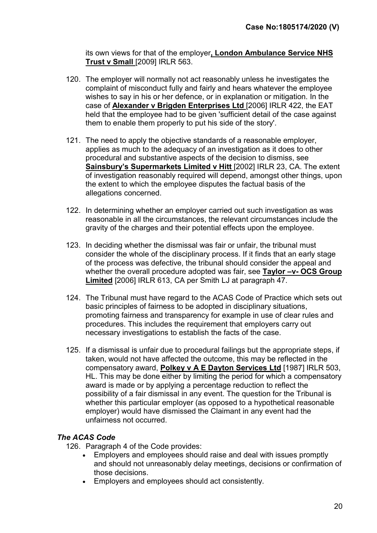its own views for that of the employer, London Ambulance Service NHS Trust v Small [2009] IRLR 563.

- 120. The employer will normally not act reasonably unless he investigates the complaint of misconduct fully and fairly and hears whatever the employee wishes to say in his or her defence, or in explanation or mitigation. In the case of Alexander v Brigden Enterprises Ltd [2006] IRLR 422, the EAT held that the employee had to be given 'sufficient detail of the case against them to enable them properly to put his side of the story'.
- 121. The need to apply the objective standards of a reasonable employer, applies as much to the adequacy of an investigation as it does to other procedural and substantive aspects of the decision to dismiss, see Sainsbury's Supermarkets Limited v Hitt [2002] IRLR 23, CA. The extent of investigation reasonably required will depend, amongst other things, upon the extent to which the employee disputes the factual basis of the allegations concerned.
- 122. In determining whether an employer carried out such investigation as was reasonable in all the circumstances, the relevant circumstances include the gravity of the charges and their potential effects upon the employee.
- 123. In deciding whether the dismissal was fair or unfair, the tribunal must consider the whole of the disciplinary process. If it finds that an early stage of the process was defective, the tribunal should consider the appeal and whether the overall procedure adopted was fair, see Taylor -v- OCS Group Limited [2006] IRLR 613, CA per Smith LJ at paragraph 47.
- 124. The Tribunal must have regard to the ACAS Code of Practice which sets out basic principles of fairness to be adopted in disciplinary situations, promoting fairness and transparency for example in use of clear rules and procedures. This includes the requirement that employers carry out necessary investigations to establish the facts of the case.
- 125. If a dismissal is unfair due to procedural failings but the appropriate steps, if taken, would not have affected the outcome, this may be reflected in the compensatory award, Polkey v A E Dayton Services Ltd [1987] IRLR 503, HL. This may be done either by limiting the period for which a compensatory award is made or by applying a percentage reduction to reflect the possibility of a fair dismissal in any event. The question for the Tribunal is whether this particular employer (as opposed to a hypothetical reasonable employer) would have dismissed the Claimant in any event had the unfairness not occurred.

## The ACAS Code

126. Paragraph 4 of the Code provides:

- Employers and employees should raise and deal with issues promptly and should not unreasonably delay meetings, decisions or confirmation of those decisions.
- Employers and employees should act consistently.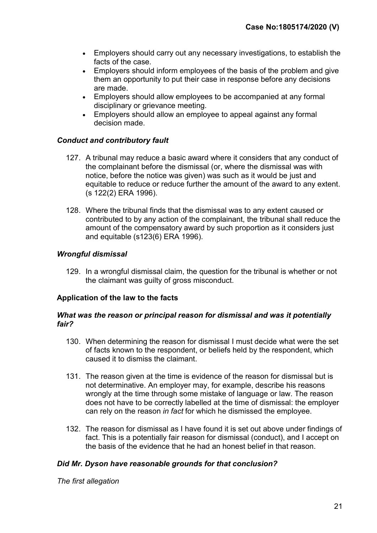- Employers should carry out any necessary investigations, to establish the facts of the case.
- Employers should inform employees of the basis of the problem and give them an opportunity to put their case in response before any decisions are made.
- Employers should allow employees to be accompanied at any formal disciplinary or grievance meeting.
- Employers should allow an employee to appeal against any formal decision made.

## Conduct and contributory fault

- 127. A tribunal may reduce a basic award where it considers that any conduct of the complainant before the dismissal (or, where the dismissal was with notice, before the notice was given) was such as it would be just and equitable to reduce or reduce further the amount of the award to any extent. (s 122(2) ERA 1996).
- 128. Where the tribunal finds that the dismissal was to any extent caused or contributed to by any action of the complainant, the tribunal shall reduce the amount of the compensatory award by such proportion as it considers just and equitable (s123(6) ERA 1996).

## Wrongful dismissal

129. In a wrongful dismissal claim, the question for the tribunal is whether or not the claimant was guilty of gross misconduct.

#### Application of the law to the facts

#### What was the reason or principal reason for dismissal and was it potentially fair?

- 130. When determining the reason for dismissal I must decide what were the set of facts known to the respondent, or beliefs held by the respondent, which caused it to dismiss the claimant.
- 131. The reason given at the time is evidence of the reason for dismissal but is not determinative. An employer may, for example, describe his reasons wrongly at the time through some mistake of language or law. The reason does not have to be correctly labelled at the time of dismissal: the employer can rely on the reason in fact for which he dismissed the employee.
- 132. The reason for dismissal as I have found it is set out above under findings of fact. This is a potentially fair reason for dismissal (conduct), and I accept on the basis of the evidence that he had an honest belief in that reason.

#### Did Mr. Dyson have reasonable grounds for that conclusion?

The first allegation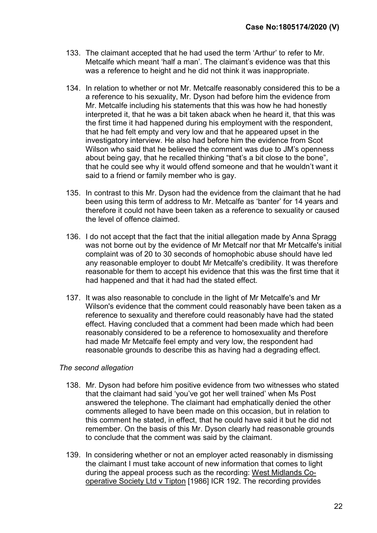- 133. The claimant accepted that he had used the term 'Arthur' to refer to Mr. Metcalfe which meant 'half a man'. The claimant's evidence was that this was a reference to height and he did not think it was inappropriate.
- 134. In relation to whether or not Mr. Metcalfe reasonably considered this to be a a reference to his sexuality, Mr. Dyson had before him the evidence from Mr. Metcalfe including his statements that this was how he had honestly interpreted it, that he was a bit taken aback when he heard it, that this was the first time it had happened during his employment with the respondent, that he had felt empty and very low and that he appeared upset in the investigatory interview. He also had before him the evidence from Scot Wilson who said that he believed the comment was due to JM's openness about being gay, that he recalled thinking "that's a bit close to the bone". that he could see why it would offend someone and that he wouldn't want it said to a friend or family member who is gay.
- 135. In contrast to this Mr. Dyson had the evidence from the claimant that he had been using this term of address to Mr. Metcalfe as 'banter' for 14 years and therefore it could not have been taken as a reference to sexuality or caused the level of offence claimed.
- 136. I do not accept that the fact that the initial allegation made by Anna Spragg was not borne out by the evidence of Mr Metcalf nor that Mr Metcalfe's initial complaint was of 20 to 30 seconds of homophobic abuse should have led any reasonable employer to doubt Mr Metcalfe's credibility. It was therefore reasonable for them to accept his evidence that this was the first time that it had happened and that it had had the stated effect.
- 137. It was also reasonable to conclude in the light of Mr Metcalfe's and Mr Wilson's evidence that the comment could reasonably have been taken as a reference to sexuality and therefore could reasonably have had the stated effect. Having concluded that a comment had been made which had been reasonably considered to be a reference to homosexuality and therefore had made Mr Metcalfe feel empty and very low, the respondent had reasonable grounds to describe this as having had a degrading effect.

#### The second allegation

- 138. Mr. Dyson had before him positive evidence from two witnesses who stated that the claimant had said 'you've got her well trained' when Ms Post answered the telephone. The claimant had emphatically denied the other comments alleged to have been made on this occasion, but in relation to this comment he stated, in effect, that he could have said it but he did not remember. On the basis of this Mr. Dyson clearly had reasonable grounds to conclude that the comment was said by the claimant.
- 139. In considering whether or not an employer acted reasonably in dismissing the claimant I must take account of new information that comes to light during the appeal process such as the recording: West Midlands Cooperative Society Ltd v Tipton [1986] ICR 192. The recording provides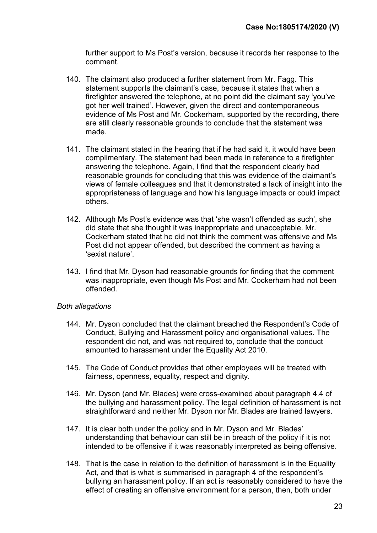further support to Ms Post's version, because it records her response to the comment.

- 140. The claimant also produced a further statement from Mr. Fagg. This statement supports the claimant's case, because it states that when a firefighter answered the telephone, at no point did the claimant say 'you've got her well trained'. However, given the direct and contemporaneous evidence of Ms Post and Mr. Cockerham, supported by the recording, there are still clearly reasonable grounds to conclude that the statement was made.
- 141. The claimant stated in the hearing that if he had said it, it would have been complimentary. The statement had been made in reference to a firefighter answering the telephone. Again, I find that the respondent clearly had reasonable grounds for concluding that this was evidence of the claimant's views of female colleagues and that it demonstrated a lack of insight into the appropriateness of language and how his language impacts or could impact others.
- 142. Although Ms Post's evidence was that 'she wasn't offended as such', she did state that she thought it was inappropriate and unacceptable. Mr. Cockerham stated that he did not think the comment was offensive and Ms Post did not appear offended, but described the comment as having a 'sexist nature'.
- 143. I find that Mr. Dyson had reasonable grounds for finding that the comment was inappropriate, even though Ms Post and Mr. Cockerham had not been offended.

#### Both allegations

- 144. Mr. Dyson concluded that the claimant breached the Respondent's Code of Conduct, Bullying and Harassment policy and organisational values. The respondent did not, and was not required to, conclude that the conduct amounted to harassment under the Equality Act 2010.
- 145. The Code of Conduct provides that other employees will be treated with fairness, openness, equality, respect and dignity.
- 146. Mr. Dyson (and Mr. Blades) were cross-examined about paragraph 4.4 of the bullying and harassment policy. The legal definition of harassment is not straightforward and neither Mr. Dyson nor Mr. Blades are trained lawyers.
- 147. It is clear both under the policy and in Mr. Dyson and Mr. Blades' understanding that behaviour can still be in breach of the policy if it is not intended to be offensive if it was reasonably interpreted as being offensive.
- 148. That is the case in relation to the definition of harassment is in the Equality Act, and that is what is summarised in paragraph 4 of the respondent's bullying an harassment policy. If an act is reasonably considered to have the effect of creating an offensive environment for a person, then, both under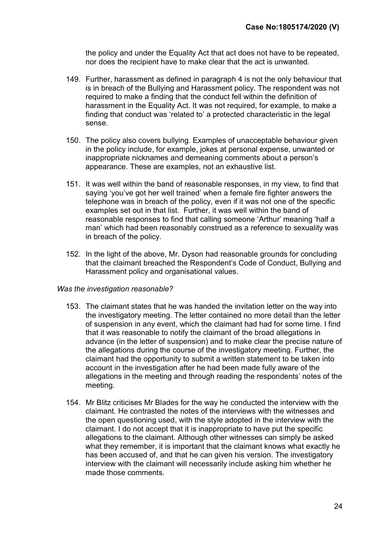the policy and under the Equality Act that act does not have to be repeated, nor does the recipient have to make clear that the act is unwanted.

- 149. Further, harassment as defined in paragraph 4 is not the only behaviour that is in breach of the Bullying and Harassment policy. The respondent was not required to make a finding that the conduct fell within the definition of harassment in the Equality Act. It was not required, for example, to make a finding that conduct was 'related to' a protected characteristic in the legal sense.
- 150. The policy also covers bullying. Examples of unacceptable behaviour given in the policy include, for example, jokes at personal expense, unwanted or inappropriate nicknames and demeaning comments about a person's appearance. These are examples, not an exhaustive list.
- 151. It was well within the band of reasonable responses, in my view, to find that saying 'you've got her well trained' when a female fire fighter answers the telephone was in breach of the policy, even if it was not one of the specific examples set out in that list. Further, it was well within the band of reasonable responses to find that calling someone 'Arthur' meaning 'half a man' which had been reasonably construed as a reference to sexuality was in breach of the policy.
- 152. In the light of the above, Mr. Dyson had reasonable grounds for concluding that the claimant breached the Respondent's Code of Conduct, Bullying and Harassment policy and organisational values.

#### Was the investigation reasonable?

- 153. The claimant states that he was handed the invitation letter on the way into the investigatory meeting. The letter contained no more detail than the letter of suspension in any event, which the claimant had had for some time. I find that it was reasonable to notify the claimant of the broad allegations in advance (in the letter of suspension) and to make clear the precise nature of the allegations during the course of the investigatory meeting. Further, the claimant had the opportunity to submit a written statement to be taken into account in the investigation after he had been made fully aware of the allegations in the meeting and through reading the respondents' notes of the meeting.
- 154. Mr Blitz criticises Mr Blades for the way he conducted the interview with the claimant. He contrasted the notes of the interviews with the witnesses and the open questioning used, with the style adopted in the interview with the claimant. I do not accept that it is inappropriate to have put the specific allegations to the claimant. Although other witnesses can simply be asked what they remember, it is important that the claimant knows what exactly he has been accused of, and that he can given his version. The investigatory interview with the claimant will necessarily include asking him whether he made those comments.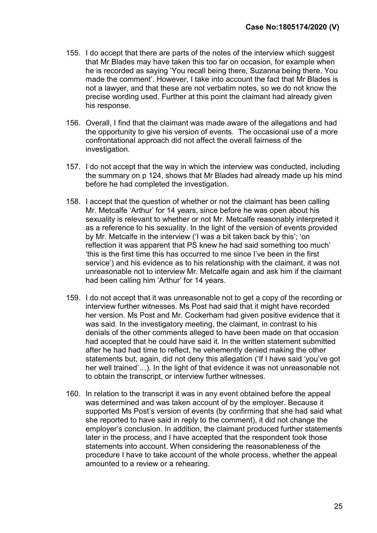- 155. I do accept that there are parts of the notes of the interview which suggest that Mr Blades may have taken this too far on occasion, for example when he is recorded as saying 'You recall being there, Suzanna being there. You made the comment'. However, I take into account the fact that Mr Blades is not a lawyer, and that these are not verbatim notes, so we do not know the precise wording used. Further at this point the claimant had already given his response.
- 156. Overall, I find that the claimant was made aware of the allegations and had the opportunity to give his version of events. The occasional use of a more confrontational approach did not affect the overall fairness of the investigation.
- 157. I do not accept that the way in which the interview was conducted, including the summary on p 124, shows that Mr Blades had already made up his mind before he had completed the investigation.
- 158. I accept that the question of whether or not the claimant has been calling Mr. Metcalfe 'Arthur' for 14 years, since before he was open about his sexuality is relevant to whether or not Mr. Metcalfe reasonably interpreted it as a reference to his sexuality. In the light of the version of events provided by Mr. Metcalfe in the interview ('I was a bit taken back by this'; 'on reflection it was apparent that PS knew he had said something too much' 'this is the first time this has occurred to me since I've been in the first service') and his evidence as to his relationship with the claimant, it was not unreasonable not to interview Mr. Metcalfe again and ask him if the claimant had been calling him 'Arthur' for 14 years.
- 159. I do not accept that it was unreasonable not to get a copy of the recording or interview further witnesses. Ms Post had said that it might have recorded her version. Ms Post and Mr. Cockerham had given positive evidence that it was said. In the investigatory meeting, the claimant, in contrast to his denials of the other comments alleged to have been made on that occasion had accepted that he could have said it. In the written statement submitted after he had had time to reflect, he vehemently denied making the other statements but, again, did not deny this allegation ('If I have said 'you've got her well trained'…). In the light of that evidence it was not unreasonable not to obtain the transcript, or interview further witnesses.
- 160. In relation to the transcript it was in any event obtained before the appeal was determined and was taken account of by the employer. Because it supported Ms Post's version of events (by confirming that she had said what she reported to have said in reply to the comment), it did not change the employer's conclusion. In addition, the claimant produced further statements later in the process, and I have accepted that the respondent took those statements into account. When considering the reasonableness of the procedure I have to take account of the whole process, whether the appeal amounted to a review or a rehearing.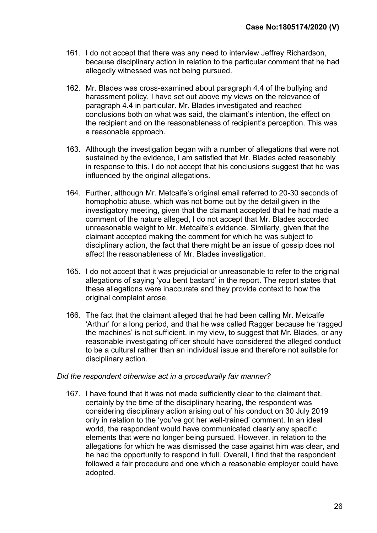- 161. I do not accept that there was any need to interview Jeffrey Richardson, because disciplinary action in relation to the particular comment that he had allegedly witnessed was not being pursued.
- 162. Mr. Blades was cross-examined about paragraph 4.4 of the bullying and harassment policy. I have set out above my views on the relevance of paragraph 4.4 in particular. Mr. Blades investigated and reached conclusions both on what was said, the claimant's intention, the effect on the recipient and on the reasonableness of recipient's perception. This was a reasonable approach.
- 163. Although the investigation began with a number of allegations that were not sustained by the evidence, I am satisfied that Mr. Blades acted reasonably in response to this. I do not accept that his conclusions suggest that he was influenced by the original allegations.
- 164. Further, although Mr. Metcalfe's original email referred to 20-30 seconds of homophobic abuse, which was not borne out by the detail given in the investigatory meeting, given that the claimant accepted that he had made a comment of the nature alleged, I do not accept that Mr. Blades accorded unreasonable weight to Mr. Metcalfe's evidence. Similarly, given that the claimant accepted making the comment for which he was subject to disciplinary action, the fact that there might be an issue of gossip does not affect the reasonableness of Mr. Blades investigation.
- 165. I do not accept that it was prejudicial or unreasonable to refer to the original allegations of saying 'you bent bastard' in the report. The report states that these allegations were inaccurate and they provide context to how the original complaint arose.
- 166. The fact that the claimant alleged that he had been calling Mr. Metcalfe 'Arthur' for a long period, and that he was called Ragger because he 'ragged the machines' is not sufficient, in my view, to suggest that Mr. Blades, or any reasonable investigating officer should have considered the alleged conduct to be a cultural rather than an individual issue and therefore not suitable for disciplinary action.

#### Did the respondent otherwise act in a procedurally fair manner?

167. I have found that it was not made sufficiently clear to the claimant that, certainly by the time of the disciplinary hearing, the respondent was considering disciplinary action arising out of his conduct on 30 July 2019 only in relation to the 'you've got her well-trained' comment. In an ideal world, the respondent would have communicated clearly any specific elements that were no longer being pursued. However, in relation to the allegations for which he was dismissed the case against him was clear, and he had the opportunity to respond in full. Overall, I find that the respondent followed a fair procedure and one which a reasonable employer could have adopted.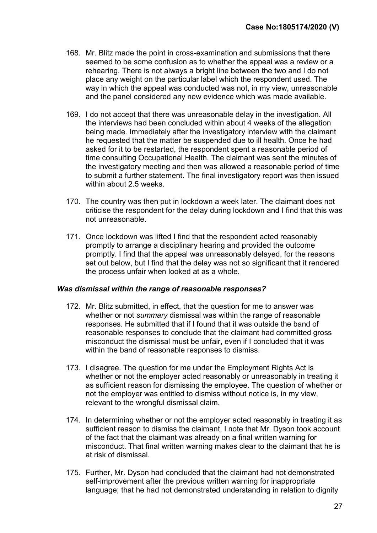- 168. Mr. Blitz made the point in cross-examination and submissions that there seemed to be some confusion as to whether the appeal was a review or a rehearing. There is not always a bright line between the two and I do not place any weight on the particular label which the respondent used. The way in which the appeal was conducted was not, in my view, unreasonable and the panel considered any new evidence which was made available.
- 169. I do not accept that there was unreasonable delay in the investigation. All the interviews had been concluded within about 4 weeks of the allegation being made. Immediately after the investigatory interview with the claimant he requested that the matter be suspended due to ill health. Once he had asked for it to be restarted, the respondent spent a reasonable period of time consulting Occupational Health. The claimant was sent the minutes of the investigatory meeting and then was allowed a reasonable period of time to submit a further statement. The final investigatory report was then issued within about 2.5 weeks.
- 170. The country was then put in lockdown a week later. The claimant does not criticise the respondent for the delay during lockdown and I find that this was not unreasonable.
- 171. Once lockdown was lifted I find that the respondent acted reasonably promptly to arrange a disciplinary hearing and provided the outcome promptly. I find that the appeal was unreasonably delayed, for the reasons set out below, but I find that the delay was not so significant that it rendered the process unfair when looked at as a whole.

#### Was dismissal within the range of reasonable responses?

- 172. Mr. Blitz submitted, in effect, that the question for me to answer was whether or not summary dismissal was within the range of reasonable responses. He submitted that if I found that it was outside the band of reasonable responses to conclude that the claimant had committed gross misconduct the dismissal must be unfair, even if I concluded that it was within the band of reasonable responses to dismiss.
- 173. I disagree. The question for me under the Employment Rights Act is whether or not the employer acted reasonably or unreasonably in treating it as sufficient reason for dismissing the employee. The question of whether or not the employer was entitled to dismiss without notice is, in my view, relevant to the wrongful dismissal claim.
- 174. In determining whether or not the employer acted reasonably in treating it as sufficient reason to dismiss the claimant, I note that Mr. Dyson took account of the fact that the claimant was already on a final written warning for misconduct. That final written warning makes clear to the claimant that he is at risk of dismissal.
- 175. Further, Mr. Dyson had concluded that the claimant had not demonstrated self-improvement after the previous written warning for inappropriate language; that he had not demonstrated understanding in relation to dignity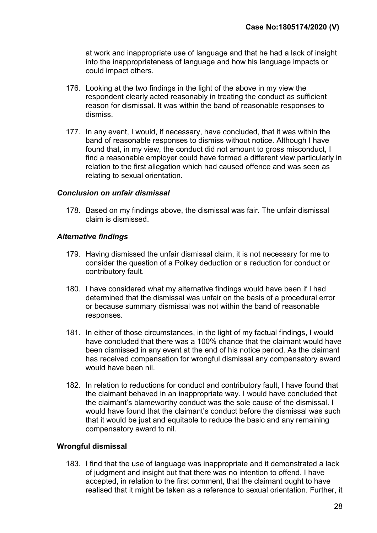at work and inappropriate use of language and that he had a lack of insight into the inappropriateness of language and how his language impacts or could impact others.

- 176. Looking at the two findings in the light of the above in my view the respondent clearly acted reasonably in treating the conduct as sufficient reason for dismissal. It was within the band of reasonable responses to dismiss.
- 177. In any event, I would, if necessary, have concluded, that it was within the band of reasonable responses to dismiss without notice. Although I have found that, in my view, the conduct did not amount to gross misconduct, I find a reasonable employer could have formed a different view particularly in relation to the first allegation which had caused offence and was seen as relating to sexual orientation.

#### Conclusion on unfair dismissal

178. Based on my findings above, the dismissal was fair. The unfair dismissal claim is dismissed.

#### Alternative findings

- 179. Having dismissed the unfair dismissal claim, it is not necessary for me to consider the question of a Polkey deduction or a reduction for conduct or contributory fault.
- 180. I have considered what my alternative findings would have been if I had determined that the dismissal was unfair on the basis of a procedural error or because summary dismissal was not within the band of reasonable responses.
- 181. In either of those circumstances, in the light of my factual findings, I would have concluded that there was a 100% chance that the claimant would have been dismissed in any event at the end of his notice period. As the claimant has received compensation for wrongful dismissal any compensatory award would have been nil.
- 182. In relation to reductions for conduct and contributory fault, I have found that the claimant behaved in an inappropriate way. I would have concluded that the claimant's blameworthy conduct was the sole cause of the dismissal. I would have found that the claimant's conduct before the dismissal was such that it would be just and equitable to reduce the basic and any remaining compensatory award to nil.

#### Wrongful dismissal

183. I find that the use of language was inappropriate and it demonstrated a lack of judgment and insight but that there was no intention to offend. I have accepted, in relation to the first comment, that the claimant ought to have realised that it might be taken as a reference to sexual orientation. Further, it